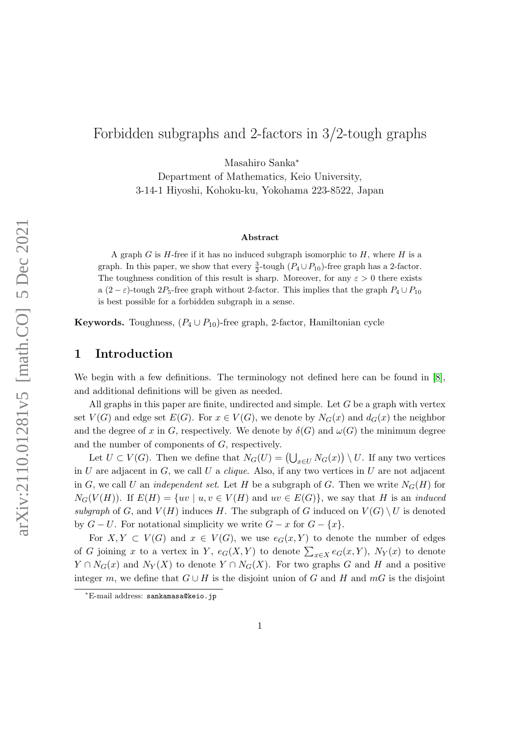# Forbidden subgraphs and 2-factors in 3/2-tough graphs

Masahiro Sanka<sup>∗</sup>

Department of Mathematics, Keio University, 3-14-1 Hiyoshi, Kohoku-ku, Yokohama 223-8522, Japan

#### Abstract

A graph G is  $H$ -free if it has no induced subgraph isomorphic to  $H$ , where  $H$  is a graph. In this paper, we show that every  $\frac{3}{2}$ -tough  $(P_4 \cup P_{10})$ -free graph has a 2-factor. The toughness condition of this result is sharp. Moreover, for any  $\varepsilon > 0$  there exists a  $(2 - \varepsilon)$ -tough  $2P_5$ -free graph without 2-factor. This implies that the graph  $P_4 \cup P_{10}$ is best possible for a forbidden subgraph in a sense.

Keywords. Toughness,  $(P_4 \cup P_{10})$ -free graph, 2-factor, Hamiltonian cycle

#### <span id="page-0-0"></span>1 Introduction

We begin with a few definitions. The terminology not defined here can be found in [\[8\]](#page-13-0), and additional definitions will be given as needed.

All graphs in this paper are finite, undirected and simple. Let  $G$  be a graph with vertex set  $V(G)$  and edge set  $E(G)$ . For  $x \in V(G)$ , we denote by  $N_G(x)$  and  $d_G(x)$  the neighbor and the degree of x in G, respectively. We denote by  $\delta(G)$  and  $\omega(G)$  the minimum degree and the number of components of G, respectively.

Let  $U \subset V(G)$ . Then we define that  $N_G(U) = (\bigcup_{x \in U} N_G(x)) \setminus U$ . If any two vertices in U are adjacent in G, we call U a *clique*. Also, if any two vertices in U are not adjacent in G, we call U an *independent set*. Let H be a subgraph of G. Then we write  $N_G(H)$  for  $N_G(V(H))$ . If  $E(H) = \{uv \mid u, v \in V(H) \text{ and } uv \in E(G)\}\$ , we say that H is an *induced* subgraph of G, and  $V(H)$  induces H. The subgraph of G induced on  $V(G) \setminus U$  is denoted by  $G - U$ . For notational simplicity we write  $G - x$  for  $G - \{x\}$ .

For  $X, Y \subset V(G)$  and  $x \in V(G)$ , we use  $e_G(x, Y)$  to denote the number of edges of G joining x to a vertex in Y,  $e_G(X, Y)$  to denote  $\sum_{x \in X} e_G(x, Y)$ ,  $N_Y(x)$  to denote  $Y \cap N_G(x)$  and  $N_Y(X)$  to denote  $Y \cap N_G(X)$ . For two graphs G and H and a positive integer m, we define that  $G \cup H$  is the disjoint union of G and H and mG is the disjoint

<sup>∗</sup>E-mail address: sankamasa@keio.jp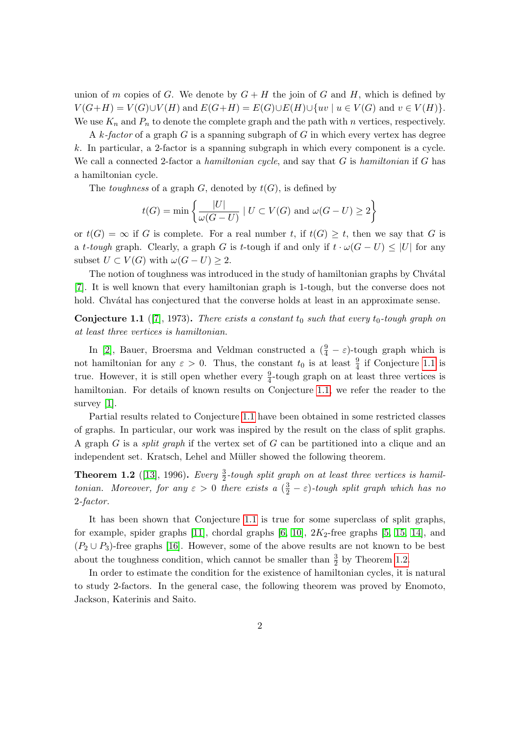union of m copies of G. We denote by  $G + H$  the join of G and H, which is defined by  $V(G+H) = V(G) \cup V(H)$  and  $E(G+H) = E(G) \cup E(H) \cup \{uv \mid u \in V(G) \text{ and } v \in V(H)\}.$ We use  $K_n$  and  $P_n$  to denote the complete graph and the path with n vertices, respectively.

A  $k$ -factor of a graph G is a spanning subgraph of G in which every vertex has degree k. In particular, a 2-factor is a spanning subgraph in which every component is a cycle. We call a connected 2-factor a hamiltonian cycle, and say that  $G$  is hamiltonian if  $G$  has a hamiltonian cycle.

The *toughness* of a graph G, denoted by  $t(G)$ , is defined by

$$
t(G) = \min\left\{\frac{|U|}{\omega(G-U)} \mid U \subset V(G) \text{ and } \omega(G-U) \ge 2\right\}
$$

or  $t(G) = \infty$  if G is complete. For a real number t, if  $t(G) \geq t$ , then we say that G is a t-tough graph. Clearly, a graph G is t-tough if and only if  $t \cdot \omega(G-U) \leq |U|$  for any subset  $U \subset V(G)$  with  $\omega(G-U) \geq 2$ .

The notion of toughness was introduced in the study of hamiltonian graphs by Chvátal [\[7\]](#page-13-1). It is well known that every hamiltonian graph is 1-tough, but the converse does not hold. Chvátal has conjectured that the converse holds at least in an approximate sense.

<span id="page-1-0"></span>**Conjecture 1.1** ([\[7\]](#page-13-1), 1973). There exists a constant  $t_0$  such that every  $t_0$ -tough graph on at least three vertices is hamiltonian.

In [\[2\]](#page-13-2), Bauer, Broersma and Veldman constructed a  $(\frac{9}{4} - \varepsilon)$ -tough graph which is not hamiltonian for any  $\varepsilon > 0$ . Thus, the constant  $t_0$  is at least  $\frac{9}{4}$  if Conjecture [1.1](#page-1-0) is true. However, it is still open whether every  $\frac{9}{4}$ -tough graph on at least three vertices is hamiltonian. For details of known results on Conjecture [1.1,](#page-1-0) we refer the reader to the survey [\[1\]](#page-12-0).

Partial results related to Conjecture [1.1](#page-1-0) have been obtained in some restricted classes of graphs. In particular, our work was inspired by the result on the class of split graphs. A graph  $G$  is a *split graph* if the vertex set of  $G$  can be partitioned into a clique and an independent set. Kratsch, Lehel and Müller showed the following theorem.

<span id="page-1-1"></span>**Theorem 1.2** ([\[13\]](#page-13-3), 1996). Every  $\frac{3}{2}$ -tough split graph on at least three vertices is hamiltonian. Moreover, for any  $\varepsilon > 0$  there exists a  $(\frac{3}{2} - \varepsilon)$ -tough split graph which has no 2-factor.

It has been shown that Conjecture [1.1](#page-1-0) is true for some superclass of split graphs, for example, spider graphs  $[11]$ , chordal graphs  $[6, 10]$  $[6, 10]$ ,  $2K_2$ -free graphs  $[5, 15, 14]$  $[5, 15, 14]$  $[5, 15, 14]$ , and  $(P_2 \cup P_3)$ -free graphs [\[16\]](#page-13-10). However, some of the above results are not known to be best about the toughness condition, which cannot be smaller than  $\frac{3}{2}$  by Theorem [1.2.](#page-1-1)

In order to estimate the condition for the existence of hamiltonian cycles, it is natural to study 2-factors. In the general case, the following theorem was proved by Enomoto, Jackson, Katerinis and Saito.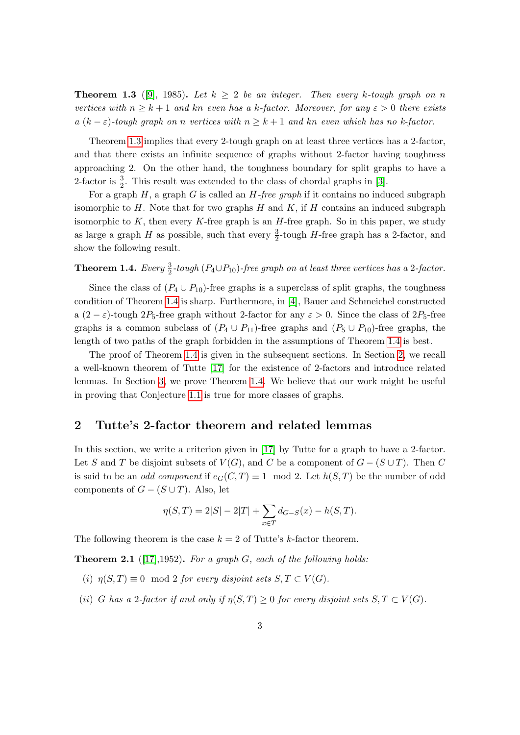<span id="page-2-0"></span>**Theorem 1.3** ([\[9\]](#page-13-11), 1985). Let  $k > 2$  be an integer. Then every k-tough graph on n vertices with  $n \geq k+1$  and kn even has a k-factor. Moreover, for any  $\varepsilon > 0$  there exists a  $(k - \varepsilon)$ -tough graph on n vertices with  $n \geq k + 1$  and kn even which has no k-factor.

Theorem [1.3](#page-2-0) implies that every 2-tough graph on at least three vertices has a 2-factor, and that there exists an infinite sequence of graphs without 2-factor having toughness approaching 2. On the other hand, the toughness boundary for split graphs to have a 2-factor is  $\frac{3}{2}$ . This result was extended to the class of chordal graphs in [\[3\]](#page-13-12).

For a graph  $H$ , a graph  $G$  is called an  $H$ -free graph if it contains no induced subgraph isomorphic to  $H$ . Note that for two graphs  $H$  and  $K$ , if  $H$  contains an induced subgraph isomorphic to  $K$ , then every  $K$ -free graph is an  $H$ -free graph. So in this paper, we study as large a graph  $H$  as possible, such that every  $\frac{3}{2}$ -tough  $H$ -free graph has a 2-factor, and show the following result.

# <span id="page-2-1"></span>**Theorem 1.4.** Every  $\frac{3}{2}$ -tough  $(P_4 \cup P_{10})$ -free graph on at least three vertices has a 2-factor.

Since the class of  $(P_4 \cup P_{10})$ -free graphs is a superclass of split graphs, the toughness condition of Theorem [1.4](#page-2-1) is sharp. Furthermore, in [\[4\]](#page-13-13), Bauer and Schmeichel constructed a  $(2 - \varepsilon)$ -tough 2P<sub>5</sub>-free graph without 2-factor for any  $\varepsilon > 0$ . Since the class of 2P<sub>5</sub>-free graphs is a common subclass of  $(P_4 \cup P_{11})$ -free graphs and  $(P_5 \cup P_{10})$ -free graphs, the length of two paths of the graph forbidden in the assumptions of Theorem [1.4](#page-2-1) is best.

The proof of Theorem [1.4](#page-2-1) is given in the subsequent sections. In Section [2,](#page-2-2) we recall a well-known theorem of Tutte [\[17\]](#page-13-14) for the existence of 2-factors and introduce related lemmas. In Section [3,](#page-3-0) we prove Theorem [1.4.](#page-2-1) We believe that our work might be useful in proving that Conjecture [1.1](#page-1-0) is true for more classes of graphs.

# <span id="page-2-2"></span>2 Tutte's 2-factor theorem and related lemmas

In this section, we write a criterion given in [\[17\]](#page-13-14) by Tutte for a graph to have a 2-factor. Let S and T be disjoint subsets of  $V(G)$ , and C be a component of  $G - (S \cup T)$ . Then C is said to be an *odd component* if  $e_G(C, T) \equiv 1 \mod 2$ . Let  $h(S, T)$  be the number of odd components of  $G - (S \cup T)$ . Also, let

$$
\eta(S,T) = 2|S| - 2|T| + \sum_{x \in T} d_{G-S}(x) - h(S,T).
$$

The following theorem is the case  $k = 2$  of Tutte's k-factor theorem.

<span id="page-2-3"></span>**Theorem 2.1** ([\[17\]](#page-13-14), 1952). For a graph G, each of the following holds:

- (i)  $\eta(S,T) \equiv 0 \mod 2$  for every disjoint sets  $S, T \subset V(G)$ .
- (ii) G has a 2-factor if and only if  $\eta(S,T) \geq 0$  for every disjoint sets  $S, T \subset V(G)$ .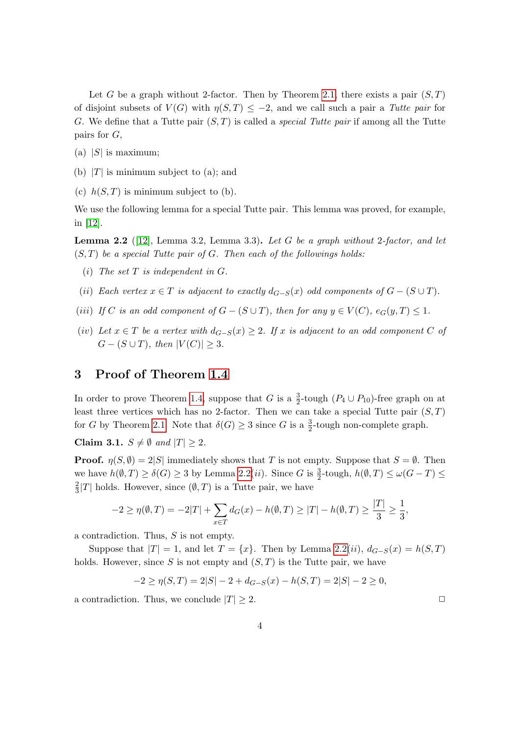Let G be a graph without 2-factor. Then by Theorem [2.1,](#page-2-3) there exists a pair  $(S, T)$ of disjoint subsets of  $V(G)$  with  $\eta(S,T) \leq -2$ , and we call such a pair a Tutte pair for G. We define that a Tutte pair  $(S, T)$  is called a *special Tutte pair* if among all the Tutte pairs for G,

- (a)  $|S|$  is maximum;
- (b)  $|T|$  is minimum subject to (a); and
- (c)  $h(S,T)$  is minimum subject to (b).

We use the following lemma for a special Tutte pair. This lemma was proved, for example, in [\[12\]](#page-13-15).

<span id="page-3-1"></span>**Lemma 2.2** ([\[12\]](#page-13-15), Lemma 3.2, Lemma 3.3). Let G be a graph without 2-factor, and let  $(S, T)$  be a special Tutte pair of G. Then each of the followings holds:

- (i) The set  $T$  is independent in  $G$ .
- (ii) Each vertex  $x \in T$  is adjacent to exactly  $d_{G-S}(x)$  odd components of  $G (S \cup T)$ .
- (iii) If C is an odd component of  $G (S \cup T)$ , then for any  $y \in V(C)$ ,  $e_G(y,T) \leq 1$ .
- (iv) Let  $x \in T$  be a vertex with  $d_{G-S}(x) \geq 2$ . If x is adjacent to an odd component C of  $G - (S \cup T)$ , then  $|V(C)| \geq 3$ .

### <span id="page-3-0"></span>3 Proof of Theorem [1.4](#page-2-1)

In order to prove Theorem [1.4,](#page-2-1) suppose that G is a  $\frac{3}{2}$ -tough  $(P_4 \cup P_{10})$ -free graph on at least three vertices which has no 2-factor. Then we can take a special Tutte pair  $(S, T)$ for G by Theorem [2.1.](#page-2-3) Note that  $\delta(G) \geq 3$  since G is a  $\frac{3}{2}$ -tough non-complete graph.

<span id="page-3-2"></span>Claim 3.1.  $S \neq \emptyset$  and  $|T| \geq 2$ .

**Proof.**  $\eta(S,\emptyset) = 2|S|$  immediately shows that T is not empty. Suppose that  $S = \emptyset$ . Then we have  $h(\emptyset, T) \ge \delta(G) \ge 3$  by Lemma [2.2\(](#page-3-1)*ii*). Since G is  $\frac{3}{2}$ -tough,  $h(\emptyset, T) \le \omega(G - T) \le$ 2  $\frac{2}{3}|T|$  holds. However, since  $(\emptyset, T)$  is a Tutte pair, we have

$$
-2 \ge \eta(\emptyset, T) = -2|T| + \sum_{x \in T} d_G(x) - h(\emptyset, T) \ge |T| - h(\emptyset, T) \ge \frac{|T|}{3} \ge \frac{1}{3},
$$

a contradiction. Thus, S is not empty.

Suppose that  $|T| = 1$ , and let  $T = \{x\}$ . Then by Lemma [2.2\(](#page-3-1)*ii*),  $d_{G-S}(x) = h(S,T)$ holds. However, since S is not empty and  $(S, T)$  is the Tutte pair, we have

$$
-2 \ge \eta(S,T) = 2|S| - 2 + d_{G-S}(x) - h(S,T) = 2|S| - 2 \ge 0,
$$

a contradiction. Thus, we conclude  $|T| \geq 2$ .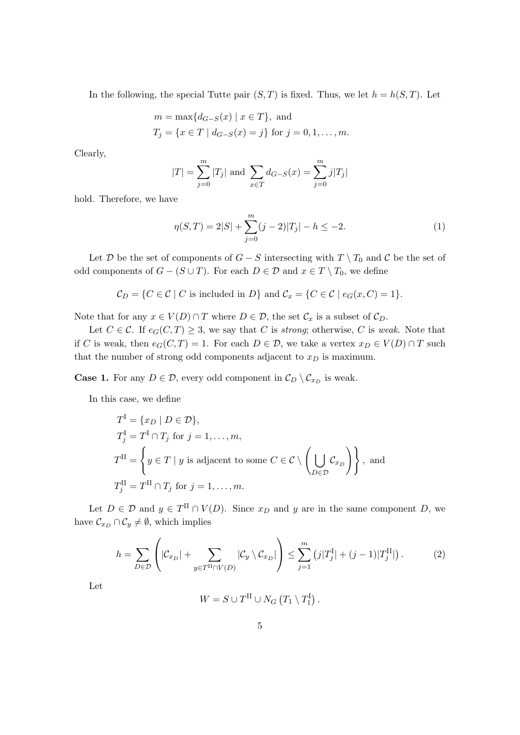In the following, the special Tutte pair  $(S, T)$  is fixed. Thus, we let  $h = h(S, T)$ . Let

$$
m = \max\{d_{G-S}(x) | x \in T\}
$$
, and  
\n $T_j = \{x \in T | d_{G-S}(x) = j\}$  for  $j = 0, 1, ..., m$ .

Clearly,

$$
|T| = \sum_{j=0}^{m} |T_j|
$$
 and  $\sum_{x \in T} d_{G-S}(x) = \sum_{j=0}^{m} j|T_j|$ 

hold. Therefore, we have

<span id="page-4-0"></span>
$$
\eta(S,T) = 2|S| + \sum_{j=0}^{m} (j-2)|T_j| - h \le -2.
$$
\n(1)

Let D be the set of components of  $G - S$  intersecting with  $T \setminus T_0$  and C be the set of odd components of  $G - (S \cup T)$ . For each  $D \in \mathcal{D}$  and  $x \in T \setminus T_0$ , we define

$$
C_D = \{ C \in \mathcal{C} \mid C \text{ is included in } D \} \text{ and } C_x = \{ C \in \mathcal{C} \mid e_G(x, C) = 1 \}.
$$

Note that for any  $x \in V(D) \cap T$  where  $D \in \mathcal{D}$ , the set  $\mathcal{C}_x$  is a subset of  $\mathcal{C}_D$ .

Let  $C \in \mathcal{C}$ . If  $e_G(C, T) \geq 3$ , we say that C is *strong*; otherwise, C is *weak*. Note that if C is weak, then  $e_G(C, T) = 1$ . For each  $D \in \mathcal{D}$ , we take a vertex  $x_D \in V(D) \cap T$  such that the number of strong odd components adjacent to  $x_D$  is maximum.

**Case 1.** For any  $D \in \mathcal{D}$ , every odd component in  $\mathcal{C}_D \setminus \mathcal{C}_{x_D}$  is weak.

In this case, we define

$$
T^{I} = \{x_D \mid D \in \mathcal{D}\},
$$
  
\n
$$
T^{I}_{j} = T^{I} \cap T_{j} \text{ for } j = 1, ..., m,
$$
  
\n
$$
T^{II} = \left\{ y \in T \mid y \text{ is adjacent to some } C \in \mathcal{C} \setminus \left(\bigcup_{D \in \mathcal{D}} \mathcal{C}_{x_D}\right) \right\}, \text{ and}
$$
  
\n
$$
T^{II}_{j} = T^{II} \cap T_{j} \text{ for } j = 1, ..., m.
$$

Let  $D \in \mathcal{D}$  and  $y \in T^{\text{II}} \cap V(D)$ . Since  $x_D$  and y are in the same component D, we have  $\mathcal{C}_{x_D} \cap \mathcal{C}_y \neq \emptyset$ , which implies

<span id="page-4-1"></span>
$$
h = \sum_{D \in \mathcal{D}} \left( |\mathcal{C}_{x_D}| + \sum_{y \in T^{\text{II}} \cap V(D)} |\mathcal{C}_y \setminus \mathcal{C}_{x_D}| \right) \le \sum_{j=1}^m \left( j|T_j^{\text{I}}| + (j-1)|T_j^{\text{II}}| \right). \tag{2}
$$

Let

$$
W = S \cup T^{II} \cup N_G (T_1 \setminus T_1^I).
$$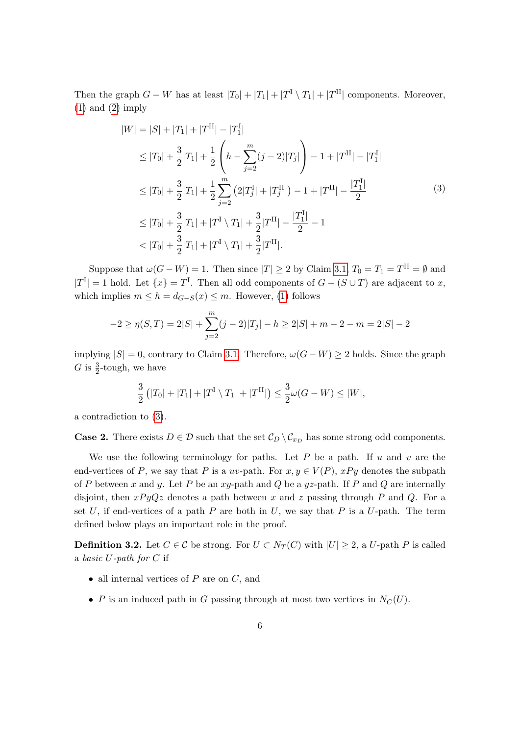Then the graph  $G - W$  has at least  $|T_0| + |T_1| + |T^{\mathrm{I}} \setminus T_1| + |T^{\mathrm{II}}|$  components. Moreover, [\(1\)](#page-4-0) and [\(2\)](#page-4-1) imply

<span id="page-5-0"></span>
$$
|W| = |S| + |T_1| + |T^{\mathrm{II}}| - |T_1^{\mathrm{I}}|
$$
  
\n
$$
\leq |T_0| + \frac{3}{2}|T_1| + \frac{1}{2} \left( h - \sum_{j=2}^m (j-2)|T_j| \right) - 1 + |T^{\mathrm{II}}| - |T_1^{\mathrm{I}}|
$$
  
\n
$$
\leq |T_0| + \frac{3}{2}|T_1| + \frac{1}{2} \sum_{j=2}^m (2|T_j^{\mathrm{I}}| + |T_j^{\mathrm{II}}|) - 1 + |T^{\mathrm{II}}| - \frac{|T_1^{\mathrm{I}}|}{2}
$$
  
\n
$$
\leq |T_0| + \frac{3}{2}|T_1| + |T^{\mathrm{I}} \setminus T_1| + \frac{3}{2}|T^{\mathrm{II}}| - \frac{|T_1^{\mathrm{I}}|}{2} - 1
$$
  
\n
$$
< |T_0| + \frac{3}{2}|T_1| + |T^{\mathrm{I}} \setminus T_1| + \frac{3}{2}|T^{\mathrm{II}}|.
$$
  
\n(3)

Suppose that  $\omega(G - W) = 1$ . Then since  $|T| \ge 2$  by Claim [3.1,](#page-3-2)  $T_0 = T_1 = T^{\text{II}} = \emptyset$  and  $|T^I| = 1$  hold. Let  $\{x\} = T^I$ . Then all odd components of  $G - (S \cup T)$  are adjacent to x, which implies  $m \leq h = d_{G-S}(x) \leq m$ . However, [\(1\)](#page-4-0) follows

$$
-2 \ge \eta(S,T) = 2|S| + \sum_{j=2}^{m} (j-2)|T_j| - h \ge 2|S| + m - 2 - m = 2|S| - 2
$$

implying  $|S| = 0$ , contrary to Claim [3.1.](#page-3-2) Therefore,  $\omega(G - W) \ge 2$  holds. Since the graph G is  $\frac{3}{2}$ -tough, we have

$$
\frac{3}{2} (|T_0| + |T_1| + |T^{\mathrm{I}} \setminus T_1| + |T^{\mathrm{II}}|) \le \frac{3}{2} \omega(G - W) \le |W|,
$$

a contradiction to [\(3\)](#page-5-0).

**Case 2.** There exists  $D \in \mathcal{D}$  such that the set  $\mathcal{C}_D \setminus \mathcal{C}_{x_D}$  has some strong odd components.

We use the following terminology for paths. Let  $P$  be a path. If  $u$  and  $v$  are the end-vertices of P, we say that P is a uv-path. For  $x, y \in V(P)$ ,  $xPy$  denotes the subpath of P between x and y. Let P be an  $xy$ -path and Q be a  $yz$ -path. If P and Q are internally disjoint, then  $xPyQz$  denotes a path between x and z passing through P and Q. For a set U, if end-vertices of a path P are both in U, we say that P is a U-path. The term defined below plays an important role in the proof.

<span id="page-5-1"></span>**Definition 3.2.** Let  $C \in \mathcal{C}$  be strong. For  $U \subset N_T(C)$  with  $|U| \geq 2$ , a U-path P is called a basic  $U$ -path for  $C$  if

- all internal vertices of  $P$  are on  $C$ , and
- P is an induced path in G passing through at most two vertices in  $N_C(U)$ .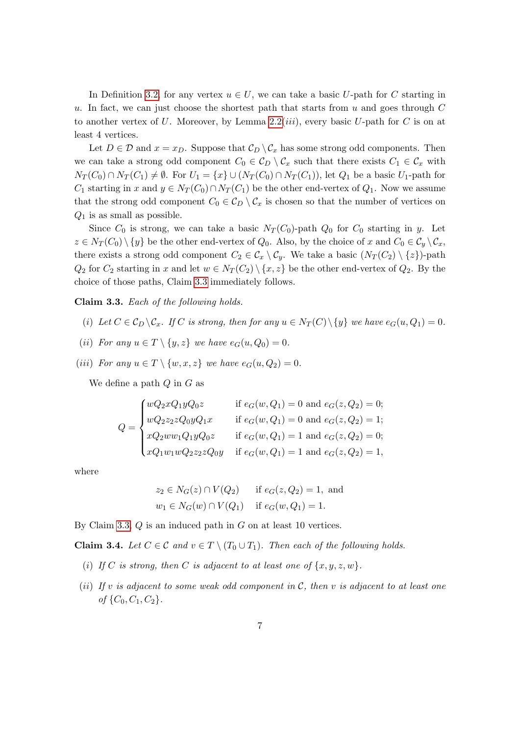In Definition [3.2,](#page-5-1) for any vertex  $u \in U$ , we can take a basic U-path for C starting in u. In fact, we can just choose the shortest path that starts from  $u$  and goes through  $C$ to another vertex of U. Moreover, by Lemma [2.2\(](#page-3-1)*iii*), every basic U-path for C is on at least 4 vertices.

Let  $D \in \mathcal{D}$  and  $x = x_D$ . Suppose that  $\mathcal{C}_D \setminus \mathcal{C}_x$  has some strong odd components. Then we can take a strong odd component  $C_0 \in \mathcal{C}_D \setminus \mathcal{C}_x$  such that there exists  $C_1 \in \mathcal{C}_x$  with  $N_T(C_0) \cap N_T(C_1) \neq \emptyset$ . For  $U_1 = \{x\} \cup (N_T(C_0) \cap N_T(C_1))$ , let  $Q_1$  be a basic  $U_1$ -path for  $C_1$  starting in x and  $y \in N_T(C_0) \cap N_T(C_1)$  be the other end-vertex of  $Q_1$ . Now we assume that the strong odd component  $C_0 \in C_D \setminus C_x$  is chosen so that the number of vertices on  $Q_1$  is as small as possible.

Since  $C_0$  is strong, we can take a basic  $N_T(C_0)$ -path  $Q_0$  for  $C_0$  starting in y. Let  $z \in N_T(C_0) \setminus \{y\}$  be the other end-vertex of  $Q_0$ . Also, by the choice of x and  $C_0 \in C_y \setminus C_x$ , there exists a strong odd component  $C_2 \in \mathcal{C}_x \setminus \mathcal{C}_y$ . We take a basic  $(N_T(C_2) \setminus \{z\})$ -path  $Q_2$  for  $C_2$  starting in x and let  $w \in N_T(C_2) \setminus \{x, z\}$  be the other end-vertex of  $Q_2$ . By the choice of those paths, Claim [3.3](#page-6-0) immediately follows.

<span id="page-6-0"></span>Claim 3.3. Each of the following holds.

- (i) Let  $C \in \mathcal{C}_D \backslash \mathcal{C}_x$ . If C is strong, then for any  $u \in N_T(C) \backslash \{y\}$  we have  $e_G(u, Q_1) = 0$ .
- (ii) For any  $u \in T \setminus \{y, z\}$  we have  $e_G(u, Q_0) = 0$ .
- (iii) For any  $u \in T \setminus \{w, x, z\}$  we have  $e_G(u, Q_2) = 0$ .

We define a path  $Q$  in  $G$  as

$$
Q = \begin{cases} wQ_2xQ_1yQ_0z & \text{if } e_G(w,Q_1) = 0 \text{ and } e_G(z,Q_2) = 0; \\ wQ_2z_2zQ_0yQ_1x & \text{if } e_G(w,Q_1) = 0 \text{ and } e_G(z,Q_2) = 1; \\ xQ_2ww_1Q_1yQ_0z & \text{if } e_G(w,Q_1) = 1 \text{ and } e_G(z,Q_2) = 0; \\ xQ_1w_1wQ_2z_2zQ_0y & \text{if } e_G(w,Q_1) = 1 \text{ and } e_G(z,Q_2) = 1, \end{cases}
$$

where

$$
z_2 \in N_G(z) \cap V(Q_2)
$$
 if  $e_G(z, Q_2) = 1$ , and  
\n $w_1 \in N_G(w) \cap V(Q_1)$  if  $e_G(w, Q_1) = 1$ .

By Claim [3.3,](#page-6-0)  $Q$  is an induced path in  $G$  on at least 10 vertices.

<span id="page-6-1"></span>**Claim 3.4.** Let  $C \in \mathcal{C}$  and  $v \in T \setminus (T_0 \cup T_1)$ . Then each of the following holds.

- (i) If C is strong, then C is adjacent to at least one of  $\{x, y, z, w\}$ .
- (ii) If v is adjacent to some weak odd component in  $C$ , then v is adjacent to at least one of  $\{C_0, C_1, C_2\}$ .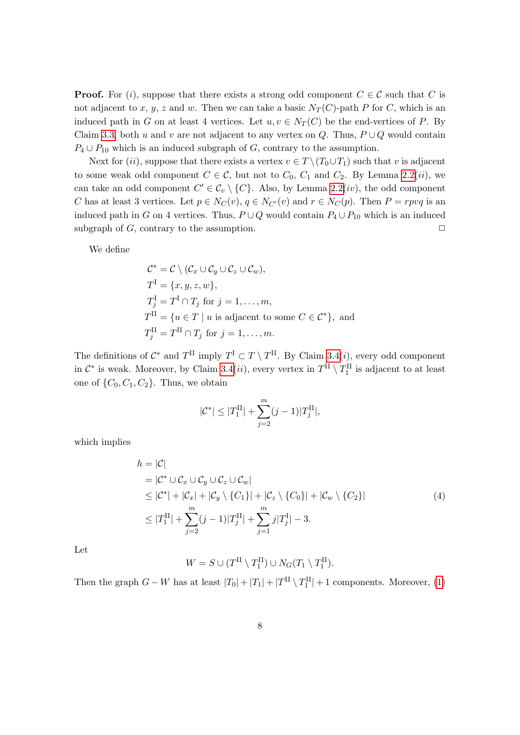**Proof.** For (i), suppose that there exists a strong odd component  $C \in \mathcal{C}$  such that C is not adjacent to x, y, z and w. Then we can take a basic  $N_T(C)$ -path P for C, which is an induced path in G on at least 4 vertices. Let  $u, v \in N_T(C)$  be the end-vertices of P. By Claim [3.3,](#page-6-0) both u and v are not adjacent to any vertex on Q. Thus,  $P \cup Q$  would contain  $P_4 \cup P_{10}$  which is an induced subgraph of G, contrary to the assumption.

Next for (ii), suppose that there exists a vertex  $v \in T \setminus (T_0 \cup T_1)$  such that v is adjacent to some weak odd component  $C \in \mathcal{C}$ , but not to  $C_0$ ,  $C_1$  and  $C_2$ . By Lemma [2.2\(](#page-3-1)*ii*), we can take an odd component  $C' \in \mathcal{C}_v \setminus \{C\}$ . Also, by Lemma [2.2\(](#page-3-1)*iv*), the odd component C has at least 3 vertices. Let  $p \in N_C(v)$ ,  $q \in N_{C'}(v)$  and  $r \in N_C(p)$ . Then  $P = r p v q$  is an induced path in G on 4 vertices. Thus,  $P \cup Q$  would contain  $P_4 \cup P_{10}$  which is an induced subgraph of  $G$ , contrary to the assumption.  $\Box$ 

We define

$$
C^* = C \setminus (C_x \cup C_y \cup C_z \cup C_w),
$$
  
\n
$$
T^I = \{x, y, z, w\},
$$
  
\n
$$
T^I_j = T^I \cap T_j \text{ for } j = 1, ..., m,
$$
  
\n
$$
T^{II} = \{u \in T \mid u \text{ is adjacent to some } C \in C^*\}, \text{ and}
$$
  
\n
$$
T^{II}_j = T^{II} \cap T_j \text{ for } j = 1, ..., m.
$$

The definitions of  $\mathcal{C}^*$  and  $T^{\text{II}}$  imply  $T^{\text{I}} \subset T \setminus T^{\text{II}}$ . By Claim [3.4\(](#page-6-1)*i*), every odd component in  $\mathcal{C}^*$  is weak. Moreover, by Claim [3.4\(](#page-6-1)*ii*), every vertex in  $T^{\text{II}} \setminus T_1^{\text{II}}$  is adjacent to at least one of  $\{C_0, C_1, C_2\}$ . Thus, we obtain

$$
|\mathcal{C}^*| \le |T_1^{\text{II}}| + \sum_{j=2}^m (j-1)|T_j^{\text{II}}|,
$$

which implies

<span id="page-7-0"></span>
$$
h = |\mathcal{C}|
$$
  
\n
$$
= |\mathcal{C}^* \cup \mathcal{C}_x \cup \mathcal{C}_y \cup \mathcal{C}_z \cup \mathcal{C}_w|
$$
  
\n
$$
\leq |\mathcal{C}^*| + |\mathcal{C}_x| + |\mathcal{C}_y \setminus \{C_1\}| + |\mathcal{C}_z \setminus \{C_0\}| + |\mathcal{C}_w \setminus \{C_2\}|
$$
  
\n
$$
\leq |T_1^{\text{II}}| + \sum_{j=2}^m (j-1)|T_j^{\text{II}}| + \sum_{j=1}^m j|T_j^{\text{I}}| - 3.
$$
\n(4)

Let

$$
W = S \cup (T^{\mathrm{II}} \setminus T_1^{\mathrm{II}}) \cup N_G(T_1 \setminus T_1^{\mathrm{II}}).
$$

Then the graph  $G - W$  has at least  $|T_0| + |T_1| + |T^{\text{II}} \setminus T_1^{\text{II}}| + 1$  components. Moreover, [\(1\)](#page-4-0)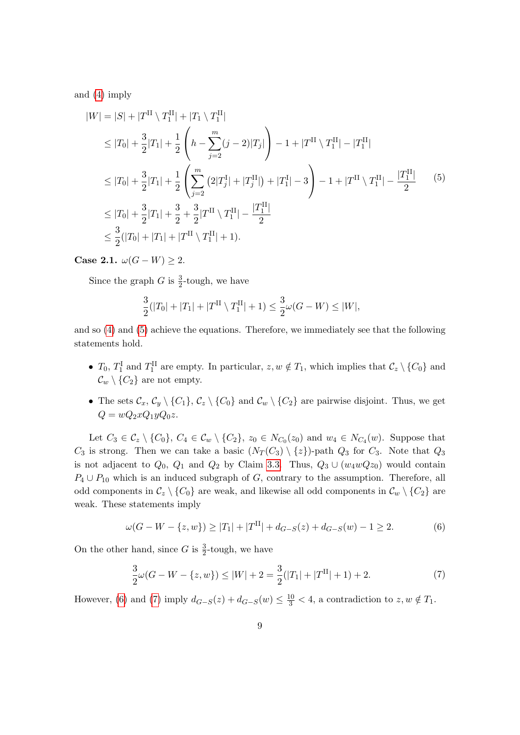and [\(4\)](#page-7-0) imply

<span id="page-8-0"></span>
$$
|W| = |S| + |T^{\text{II}} \setminus T_1^{\text{II}}| + |T_1 \setminus T_1^{\text{II}}|
$$
  
\n
$$
\leq |T_0| + \frac{3}{2}|T_1| + \frac{1}{2} \left( h - \sum_{j=2}^m (j-2)|T_j| \right) - 1 + |T^{\text{II}} \setminus T_1^{\text{II}}| - |T_1^{\text{II}}|
$$
  
\n
$$
\leq |T_0| + \frac{3}{2}|T_1| + \frac{1}{2} \left( \sum_{j=2}^m (2|T_j^{\text{I}}| + |T_j^{\text{II}}|) + |T_1^{\text{I}}| - 3 \right) - 1 + |T^{\text{II}} \setminus T_1^{\text{II}}| - \frac{|T_1^{\text{II}}|}{2} \right) \leq |T_0| + \frac{3}{2}|T_1| + \frac{3}{2} + \frac{3}{2}|T^{\text{II}} \setminus T_1^{\text{II}}| - \frac{|T_1^{\text{II}}|}{2}
$$
  
\n
$$
\leq \frac{3}{2}(|T_0| + |T_1| + |T^{\text{II}} \setminus T_1^{\text{II}}| + 1).
$$
 (5)

Case 2.1.  $\omega(G - W) \geq 2$ .

Since the graph G is  $\frac{3}{2}$ -tough, we have

$$
\frac{3}{2}(|T_0| + |T_1| + |T^{\text{II}} \setminus T_1^{\text{II}}| + 1) \le \frac{3}{2}\omega(G - W) \le |W|,
$$

and so [\(4\)](#page-7-0) and [\(5\)](#page-8-0) achieve the equations. Therefore, we immediately see that the following statements hold.

- $T_0$ ,  $T_1^{\text{I}}$  and  $T_1^{\text{II}}$  are empty. In particular,  $z, w \notin T_1$ , which implies that  $\mathcal{C}_z \setminus \{C_0\}$  and  $\mathcal{C}_w \setminus \{C_2\}$  are not empty.
- The sets  $\mathcal{C}_x, \mathcal{C}_y \setminus \{C_1\}, \mathcal{C}_z \setminus \{C_0\}$  and  $\mathcal{C}_w \setminus \{C_2\}$  are pairwise disjoint. Thus, we get  $Q = wQ_2xQ_1yQ_0z.$

Let  $C_3 \in \mathcal{C}_z \setminus \{C_0\}$ ,  $C_4 \in \mathcal{C}_w \setminus \{C_2\}$ ,  $z_0 \in N_{C_0}(z_0)$  and  $w_4 \in N_{C_4}(w)$ . Suppose that  $C_3$  is strong. Then we can take a basic  $(N_T (C_3) \setminus \{z\})$ -path  $Q_3$  for  $C_3$ . Note that  $Q_3$ is not adjacent to  $Q_0$ ,  $Q_1$  and  $Q_2$  by Claim [3.3.](#page-6-0) Thus,  $Q_3 \cup (w_4wQz_0)$  would contain  $P_4 \cup P_{10}$  which is an induced subgraph of G, contrary to the assumption. Therefore, all odd components in  $\mathcal{C}_z \setminus \{C_0\}$  are weak, and likewise all odd components in  $\mathcal{C}_w \setminus \{C_2\}$  are weak. These statements imply

<span id="page-8-1"></span>
$$
\omega(G - W - \{z, w\}) \ge |T_1| + |T^{\text{II}}| + d_{G-S}(z) + d_{G-S}(w) - 1 \ge 2. \tag{6}
$$

On the other hand, since G is  $\frac{3}{2}$ -tough, we have

<span id="page-8-2"></span>
$$
\frac{3}{2}\omega(G - W - \{z, w\}) \le |W| + 2 = \frac{3}{2}(|T_1| + |T^{\text{II}}| + 1) + 2. \tag{7}
$$

However, [\(6\)](#page-8-1) and [\(7\)](#page-8-2) imply  $d_{G-S}(z) + d_{G-S}(w) \leq \frac{10}{3} < 4$ , a contradiction to  $z, w \notin T_1$ .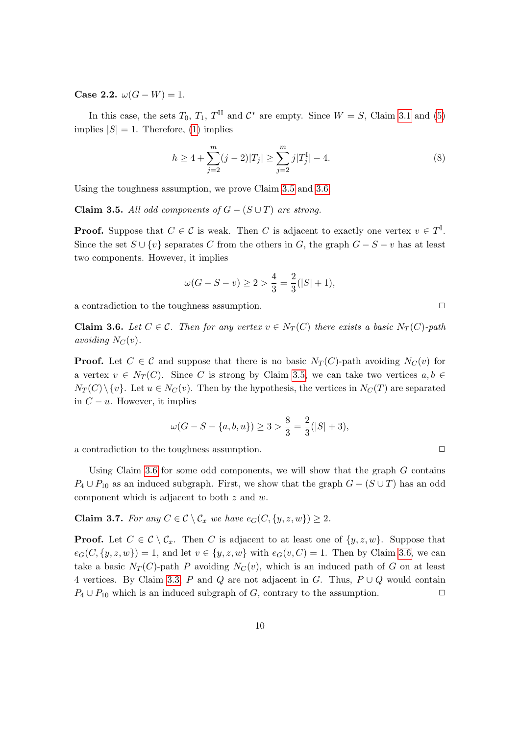Case 2.2.  $\omega(G - W) = 1$ .

In this case, the sets  $T_0$ ,  $T_1$ ,  $T^{\text{II}}$  and  $\mathcal{C}^*$  are empty. Since  $W = S$ , Claim [3.1](#page-3-2) and [\(5\)](#page-8-0) implies  $|S| = 1$ . Therefore, [\(1\)](#page-4-0) implies

<span id="page-9-2"></span>
$$
h \ge 4 + \sum_{j=2}^{m} (j-2)|T_j| \ge \sum_{j=2}^{m} j|T_j^{\text{I}}| - 4. \tag{8}
$$

Using the toughness assumption, we prove Claim [3.5](#page-9-0) and [3.6.](#page-9-1)

<span id="page-9-0"></span>Claim 3.5. All odd components of  $G - (S \cup T)$  are strong.

**Proof.** Suppose that  $C \in \mathcal{C}$  is weak. Then C is adjacent to exactly one vertex  $v \in T^I$ . Since the set  $S \cup \{v\}$  separates C from the others in G, the graph  $G - S - v$  has at least two components. However, it implies

$$
\omega(G - S - v) \ge 2 > \frac{4}{3} = \frac{2}{3}(|S| + 1),
$$

a contradiction to the toughness assumption.  $\Box$ 

<span id="page-9-1"></span>**Claim 3.6.** Let  $C \in \mathcal{C}$ . Then for any vertex  $v \in N_T(C)$  there exists a basic  $N_T(C)$ -path avoiding  $N_C(v)$ .

**Proof.** Let  $C \in \mathcal{C}$  and suppose that there is no basic  $N_T(C)$ -path avoiding  $N_C(v)$  for a vertex  $v \in N_T(C)$ . Since C is strong by Claim [3.5,](#page-9-0) we can take two vertices  $a, b \in$  $N_T(C) \setminus \{v\}$ . Let  $u \in N_C(v)$ . Then by the hypothesis, the vertices in  $N_C(T)$  are separated in  $C - u$ . However, it implies

$$
\omega(G - S - \{a, b, u\}) \ge 3 > \frac{8}{3} = \frac{2}{3}(|S| + 3),
$$

a contradiction to the toughness assumption.  $\Box$ 

Using Claim [3.6](#page-9-1) for some odd components, we will show that the graph  $G$  contains  $P_4 \cup P_{10}$  as an induced subgraph. First, we show that the graph  $G - (S \cup T)$  has an odd component which is adjacent to both z and w.

<span id="page-9-3"></span>**Claim 3.7.** For any  $C \in \mathcal{C} \setminus \mathcal{C}_x$  we have  $e_G(C, \{y, z, w\}) \geq 2$ .

**Proof.** Let  $C \in \mathcal{C} \setminus \mathcal{C}_x$ . Then C is adjacent to at least one of  $\{y, z, w\}$ . Suppose that  $e_G(C, \{y, z, w\}) = 1$ , and let  $v \in \{y, z, w\}$  with  $e_G(v, C) = 1$ . Then by Claim [3.6,](#page-9-1) we can take a basic  $N_T(C)$ -path P avoiding  $N_C(v)$ , which is an induced path of G on at least 4 vertices. By Claim [3.3,](#page-6-0) P and Q are not adjacent in G. Thus,  $P \cup Q$  would contain  $P_4 \cup P_{10}$  which is an induced subgraph of G, contrary to the assumption.  $\Box$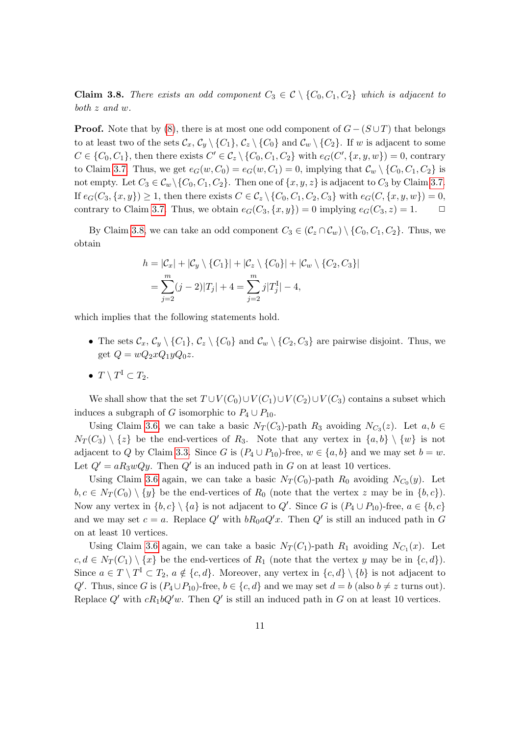<span id="page-10-0"></span>**Claim 3.8.** There exists an odd component  $C_3 \in \mathcal{C} \setminus \{C_0, C_1, C_2\}$  which is adjacent to both z and w.

**Proof.** Note that by [\(8\)](#page-9-2), there is at most one odd component of  $G - (S \cup T)$  that belongs to at least two of the sets  $\mathcal{C}_x, \mathcal{C}_y \setminus \{C_1\}, \mathcal{C}_z \setminus \{C_0\}$  and  $\mathcal{C}_w \setminus \{C_2\}$ . If w is adjacent to some  $C \in \{C_0, C_1\}$ , then there exists  $C' \in \mathcal{C}_z \setminus \{C_0, C_1, C_2\}$  with  $e_G(C', \{x, y, w\}) = 0$ , contrary to Claim [3.7.](#page-9-3) Thus, we get  $e_G(w, C_0) = e_G(w, C_1) = 0$ , implying that  $\mathcal{C}_w \setminus \{C_0, C_1, C_2\}$  is not empty. Let  $C_3 \in \mathcal{C}_w \setminus \{C_0, C_1, C_2\}$ . Then one of  $\{x, y, z\}$  is adjacent to  $C_3$  by Claim [3.7.](#page-9-3) If  $e_G(C_3, \{x, y\}) \geq 1$ , then there exists  $C \in \mathcal{C}_z \setminus \{C_0, C_1, C_2, C_3\}$  with  $e_G(C, \{x, y, w\}) = 0$ , contrary to Claim [3.7.](#page-9-3) Thus, we obtain  $e_G(C_3, \{x, y\}) = 0$  implying  $e_G(C_3, z) = 1$ .

By Claim [3.8,](#page-10-0) we can take an odd component  $C_3 \in (\mathcal{C}_z \cap \mathcal{C}_w) \setminus \{C_0, C_1, C_2\}$ . Thus, we obtain

$$
h = |\mathcal{C}_x| + |\mathcal{C}_y \setminus \{C_1\}| + |\mathcal{C}_z \setminus \{C_0\}| + |\mathcal{C}_w \setminus \{C_2, C_3\}|
$$
  
= 
$$
\sum_{j=2}^m (j-2)|T_j| + 4 = \sum_{j=2}^m j|T_j^I| - 4,
$$

which implies that the following statements hold.

- The sets  $\mathcal{C}_x, \mathcal{C}_y \setminus \{C_1\}, \mathcal{C}_z \setminus \{C_0\}$  and  $\mathcal{C}_w \setminus \{C_2, C_3\}$  are pairwise disjoint. Thus, we get  $Q = wQ_2xQ_1yQ_0z$ .
- $T \setminus T^{\mathrm{I}} \subset T_2$ .

We shall show that the set  $T \cup V(C_0) \cup V(C_1) \cup V(C_2) \cup V(C_3)$  contains a subset which induces a subgraph of G isomorphic to  $P_4 \cup P_{10}$ .

Using Claim [3.6,](#page-9-1) we can take a basic  $N_T(C_3)$ -path  $R_3$  avoiding  $N_{C_3}(z)$ . Let  $a, b \in$  $N_T(C_3) \setminus \{z\}$  be the end-vertices of  $R_3$ . Note that any vertex in  $\{a, b\} \setminus \{w\}$  is not adjacent to Q by Claim [3.3.](#page-6-0) Since G is  $(P_4 \cup P_{10})$ -free,  $w \in \{a, b\}$  and we may set  $b = w$ . Let  $Q' = aR_3wQy$ . Then  $Q'$  is an induced path in G on at least 10 vertices.

Using Claim [3.6](#page-9-1) again, we can take a basic  $N_T(C_0)$ -path  $R_0$  avoiding  $N_{C_0}(y)$ . Let  $b, c \in N_T(C_0) \setminus \{y\}$  be the end-vertices of  $R_0$  (note that the vertex z may be in  $\{b, c\}$ ). Now any vertex in  $\{b, c\} \setminus \{a\}$  is not adjacent to  $Q'$ . Since G is  $(P_4 \cup P_{10})$ -free,  $a \in \{b, c\}$ and we may set  $c = a$ . Replace  $Q'$  with  $bR_0aQ'x$ . Then  $Q'$  is still an induced path in G on at least 10 vertices.

Using Claim [3.6](#page-9-1) again, we can take a basic  $N_T(C_1)$ -path  $R_1$  avoiding  $N_{C_1}(x)$ . Let  $c, d \in N_T(C_1) \setminus \{x\}$  be the end-vertices of  $R_1$  (note that the vertex y may be in  $\{c, d\}$ ). Since  $a \in T \setminus T^I \subset T_2$ ,  $a \notin \{c, d\}$ . Moreover, any vertex in  $\{c, d\} \setminus \{b\}$  is not adjacent to Q'. Thus, since G is  $(P_4 \cup P_{10})$ -free,  $b \in \{c, d\}$  and we may set  $d = b$  (also  $b \neq z$  turns out). Replace  $Q'$  with  $cR_1bQ'w$ . Then  $Q'$  is still an induced path in G on at least 10 vertices.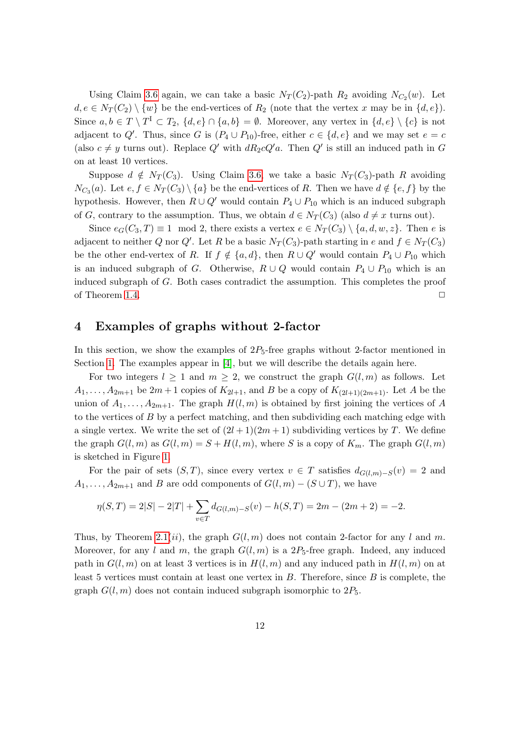Using Claim [3.6](#page-9-1) again, we can take a basic  $N_T(C_2)$ -path  $R_2$  avoiding  $N_{C_2}(w)$ . Let  $d, e \in N_T(C_2) \setminus \{w\}$  be the end-vertices of  $R_2$  (note that the vertex x may be in  $\{d, e\}$ ). Since  $a, b \in T \setminus T^I \subset T_2$ ,  $\{d, e\} \cap \{a, b\} = \emptyset$ . Moreover, any vertex in  $\{d, e\} \setminus \{c\}$  is not adjacent to Q'. Thus, since G is  $(P_4 \cup P_{10})$ -free, either  $c \in \{d, e\}$  and we may set  $e = c$ (also  $c \neq y$  turns out). Replace Q' with  $dR_2cQ'a$ . Then Q' is still an induced path in G on at least 10 vertices.

Suppose  $d \notin N_T(C_3)$ . Using Claim [3.6,](#page-9-1) we take a basic  $N_T(C_3)$ -path R avoiding  $N_{C_3}(a)$ . Let  $e, f \in N_T(C_3) \setminus \{a\}$  be the end-vertices of R. Then we have  $d \notin \{e, f\}$  by the hypothesis. However, then  $R \cup Q'$  would contain  $P_4 \cup P_{10}$  which is an induced subgraph of G, contrary to the assumption. Thus, we obtain  $d \in N_T(C_3)$  (also  $d \neq x$  turns out).

Since  $e_G(C_3, T) \equiv 1 \mod 2$ , there exists a vertex  $e \in N_T(C_3) \setminus \{a, d, w, z\}$ . Then e is adjacent to neither Q nor Q'. Let R be a basic  $N_T(C_3)$ -path starting in e and  $f \in N_T(C_3)$ be the other end-vertex of R. If  $f \notin \{a, d\}$ , then  $R \cup Q'$  would contain  $P_4 \cup P_{10}$  which is an induced subgraph of G. Otherwise,  $R \cup Q$  would contain  $P_4 \cup P_{10}$  which is an induced subgraph of G. Both cases contradict the assumption. This completes the proof of Theorem [1.4.](#page-2-1)  $\Box$ 

#### 4 Examples of graphs without 2-factor

In this section, we show the examples of  $2P_5$ -free graphs without 2-factor mentioned in Section [1.](#page-0-0) The examples appear in [\[4\]](#page-13-13), but we will describe the details again here.

For two integers  $l \geq 1$  and  $m \geq 2$ , we construct the graph  $G(l,m)$  as follows. Let  $A_1, \ldots, A_{2m+1}$  be  $2m+1$  copies of  $K_{2l+1}$ , and B be a copy of  $K_{(2l+1)(2m+1)}$ . Let A be the union of  $A_1, \ldots, A_{2m+1}$ . The graph  $H(l,m)$  is obtained by first joining the vertices of A to the vertices of  $B$  by a perfect matching, and then subdividing each matching edge with a single vertex. We write the set of  $(2l+1)(2m+1)$  subdividing vertices by T. We define the graph  $G(l, m)$  as  $G(l, m) = S + H(l, m)$ , where S is a copy of  $K_m$ . The graph  $G(l, m)$ is sketched in Figure [1.](#page-12-1)

For the pair of sets  $(S, T)$ , since every vertex  $v \in T$  satisfies  $d_{G(l,m)-S}(v) = 2$  and  $A_1, \ldots, A_{2m+1}$  and B are odd components of  $G(l,m) - (S \cup T)$ , we have

$$
\eta(S,T) = 2|S| - 2|T| + \sum_{v \in T} d_{G(l,m)-S}(v) - h(S,T) = 2m - (2m + 2) = -2.
$$

Thus, by Theorem [2.1\(](#page-2-3)*ii*), the graph  $G(l, m)$  does not contain 2-factor for any l and m. Moreover, for any l and m, the graph  $G(l, m)$  is a  $2P_5$ -free graph. Indeed, any induced path in  $G(l, m)$  on at least 3 vertices is in  $H(l, m)$  and any induced path in  $H(l, m)$  on at least 5 vertices must contain at least one vertex in  $B$ . Therefore, since  $B$  is complete, the graph  $G(l, m)$  does not contain induced subgraph isomorphic to  $2P_5$ .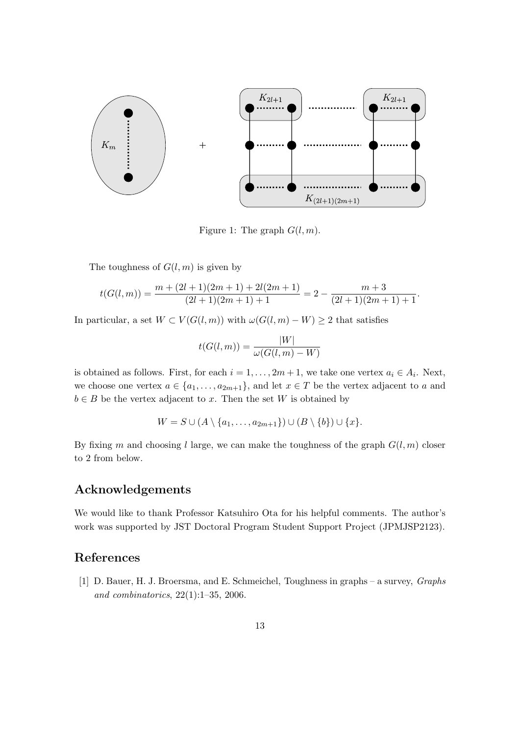

<span id="page-12-1"></span>Figure 1: The graph  $G(l, m)$ .

The toughness of  $G(l, m)$  is given by

$$
t(G(l,m))=\frac{m+(2l+1)(2m+1)+2l(2m+1)}{(2l+1)(2m+1)+1}=2-\frac{m+3}{(2l+1)(2m+1)+1}.
$$

In particular, a set  $W \subset V(G(l,m))$  with  $\omega(G(l,m)-W) \geq 2$  that satisfies

$$
t(G(l,m)) = \frac{|W|}{\omega(G(l,m) - W)}
$$

is obtained as follows. First, for each  $i = 1, ..., 2m + 1$ , we take one vertex  $a_i \in A_i$ . Next, we choose one vertex  $a \in \{a_1, \ldots, a_{2m+1}\}\$ , and let  $x \in T$  be the vertex adjacent to a and  $b \in B$  be the vertex adjacent to x. Then the set W is obtained by

$$
W = S \cup (A \setminus \{a_1, \ldots, a_{2m+1}\}) \cup (B \setminus \{b\}) \cup \{x\}.
$$

By fixing m and choosing l large, we can make the toughness of the graph  $G(l, m)$  closer to 2 from below.

# Acknowledgements

We would like to thank Professor Katsuhiro Ota for his helpful comments. The author's work was supported by JST Doctoral Program Student Support Project (JPMJSP2123).

## References

<span id="page-12-0"></span>[1] D. Bauer, H. J. Broersma, and E. Schmeichel, Toughness in graphs – a survey, Graphs and combinatorics, 22(1):1–35, 2006.